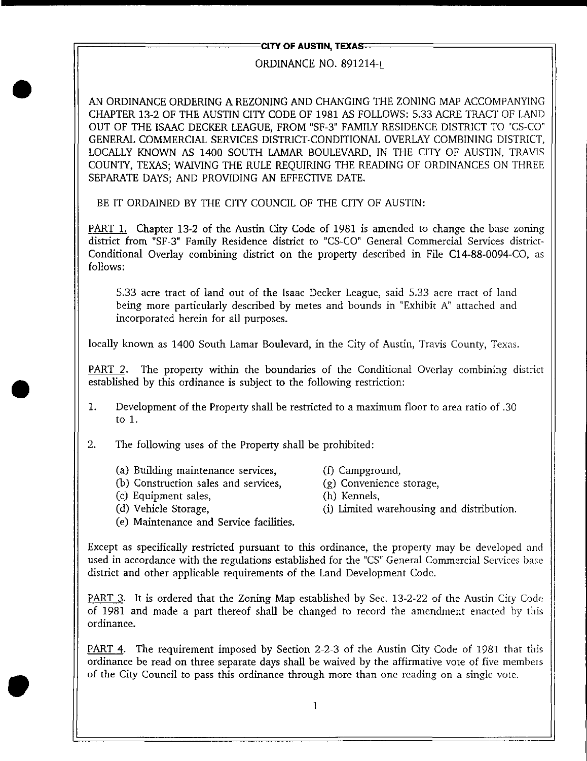## **CITY OF AUSTIN, TEXAS:**

## ORDINANCE NO. 891214-1

AN ORDINANCE ORDERING A REZONING AND CHANGING THE ZONING MAP ACCOMPANYING CHAPTER 13-2 OF THE AUSTIN CITY CODE OF 1981 AS FOLLOWS: 5.33 ACRE TRACT OF LAND OUT OF THE ISAAC DECKER LEAGUE, FROM "SF-3" FAMILY RESIDENCE DISTRICT TO "CS-CO" GENERAL COMMERCIAL SERVICES DISTRICT-CONDITIONAL OVERLAY COMBINING DISTRICT, LOCALLY KNOWN AS 1400 SOUTH LAMAR BOULEVARD, IN THE CITY OF AUSTIN, TRAVIS COUNTY, TEXAS; WAIVING THE RULE REQUIRING THE READING OF ORDINANCES ON THREE SEPARATE DAYS; AND PROVIDING AN EFFECTIVE DATE.

BE IT ORDAINED BY THE CITY COUNCIL OF THE CITY OF AUSTIN:

PART 1. Chapter 13-2 of the Austin City Code of 1981 is amended to change the base zoning district from "SF-3" Family Residence district to "CS-CO" General Commercial Services district-Conditional Overlay combining district on the property described in File C14-88-0094-CO, as follows:

5.33 acre tract of land out of the Isaac Decker League, said 5.33 acre tract of land being more particularly described by metes and bounds in "Exhibit A" attached and incorporated herein for all purposes.

locally known as 1400 South Lamar Boulevard, in the City of Austin, Travis County, Texas.

PART 2. The property within the boundaries of the Conditional Overlay combining district established by this ordinance is subject to the following restriction:

- 1. Development of the Property shall be restricted to a maximum floor to area ratio of .30 to 1.
- 2. The following uses of the Property shall be prohibited:
	- (a) Building maintenance services, (f) Campground,
	- (b) Construction sales and services, (g) Convenience storage,
	- (c) Equipment sales, (h) Kennels,
	-
	- (e) Maintenance and Service facilities.
- 
- 
- 
- (d) Vehicle Storage,  $(i)$  Limited warehousing and distribution.

Except as specifically restricted pursuant to this ordinance, the property may be developed and used in accordance with the regulations established for the "CS" General Commercial Services base district and other applicable requirements of the Land Development Code.

PART 3. It is ordered that the Zoning Map established by Sec. 13-2-22 of the Austin City Code of 1981 and made a part thereof shall be changed to record the amendment enacted by this ordinance.

PART 4. The requirement imposed by Section 2-2-3 of the Austin City Code of 1981 that this ordinance be read on three separate days shall be waived by the affirmative vote of five members of the City Council to pass this ordinance through more than one reading on a single vote.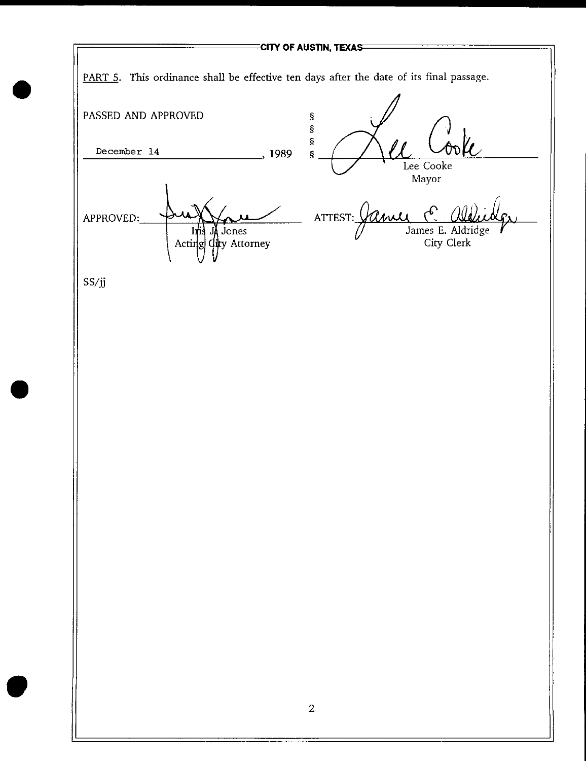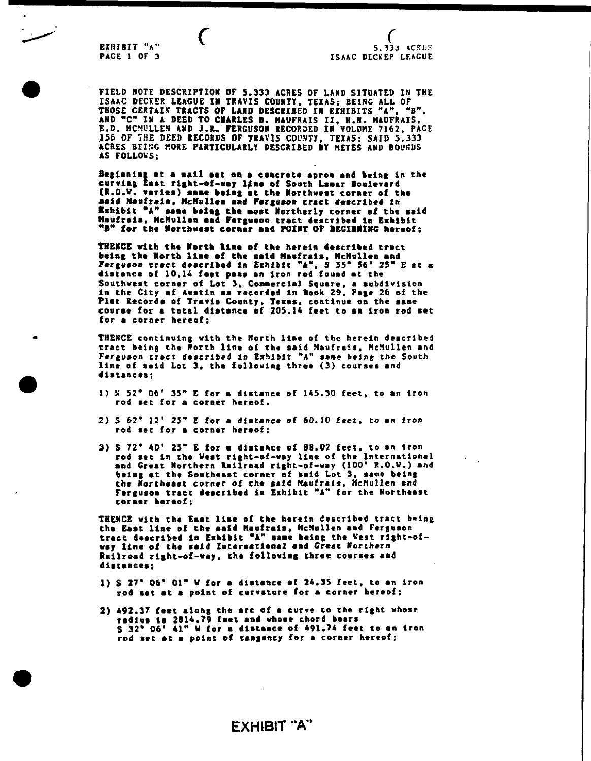EXHIBIT "A" PACE 1 OF 3

FIELD NOTE DESCRIPTION OF 5.333 ACRES OF LAND SITUATED IN THE ISAAC DECKEP LEAGUE IN TRAVIS COUNTY, TEXAS; BEING ALL OF THOSE CERTAIN TRACTS OF LAND DESCRIBED IN EXHIBITS "A". "B". AND <sup>N</sup>C" IN A DEED TO CHARLES B. NAUFRAIS II. N.H. MAUFRAIS, E.D. MCMULLEN AND J.R. FERGUSON RECORDED IN VOLUME 7162, PAGE 156 OF THE DEED RECORDS OF TRAVIS COUNTY, TEXAS; SAID 5.333 ACRES BEING MORE PARTICULARLY DESCRIBED BY METES AND BOUNDS AS FOLLOWS:

Beginning at a mail set on a concrete apron and being in the curving East right-of-way line of South Lamar Boulevard (R.O.V. varies) aaae being at the Northwest corner of the •aid Maufraia. HcMnllen and Ferguson tract described in Exhibit "A" same being the most Northerly corner of the said Maofrala. HcMullen aad Fergueon tract described la Exhibit "B" for the Northwest corner and POINT OF BEGINNING hereof;

THENCE with the North line of the herein described tract being the North line of the said Maufrais, McMullen and Ferguson tract described In Exhibit "A". S 55\* 56\* 25" £ at a distance of 10.14 feet peas an iron rod found at the Southwest corner of Lot 3, Comerclal Square, a subdivision in the City of Avatin aa recorded in Book 29, Page 26 of the Plat Records of Travis County. Texas, continue on the same course for a total distance of 205.14 feet to an iron rod set for a corner hereof;

THENCE continuing with the North line of the herein described tract being the North line of the said Maufrsis, HcMullen and Ferguson tract described in Exhibit "A" same being the South line of said Lot 3, the following three (3) courses and distances;

- I) N  $52^*$  06' 35" E for a distance of 145.30 feet, to an iron rod set for a corner hereof.
- 2) S 62\* 12' 25" E for a dlstsnce of 60.10 feet, to an iron rod set for a corner hereof;
- 3) S 72\* 40' 25" E for a distance of BB.02 feet, to an iron rod aet in the West right-of-way line of the International and Great Northern Railroad right-of-way (100\* R.O.V.) and being at the Southeast corner of said Lot 3, sane being the Northeast corner of the aald Naufrals, HcHullen and Ferguson tract described in Exhibit "A" for the Northeast corner hereof;

THENCE with the East line of the herein described tract being the East line of the said Maufrais, McMullen and Ferguson tract described in Exhibit "A" same being the West right-ofway line of the aald International aad Great Northern Railroad right-of-way, the following three courses and distances;

- 1) S 27\* 06\* 01" V for a distance of 24.35 feet, to an iron rod act at a point of curvature for a corner hereof;
- 2) 492.37 feet along the arc of a curve to the right whose radius la 2814.79 feet and whose chord bears  $S$  32\* 06\* 41" W for a distance of 491.74 feet to an iron rod set at a point of tangency for a corner hereof;

**EXHIBIT "A"**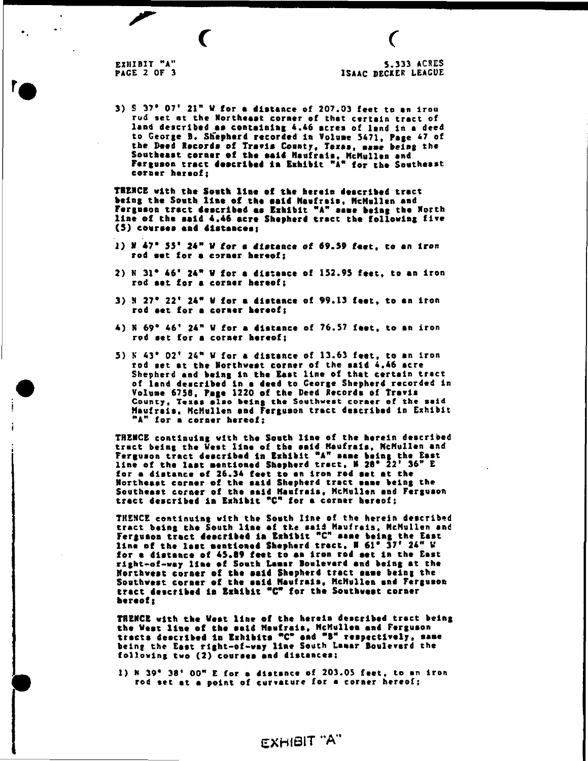r,

 $\bullet$  .

 $\sim$ 

m

 $\epsilon$ 

3) S 37\* 07' 21" V for a distance of 207.03 feet to an Irou rod set at the Northeast corner of that certain tract of land described aa containing 4.46 acres of lend in a deed to George B. SKepherd recorded in Volune 5471, Page 47 of the Deed Records of Travis County, Texas, same being the Southeast corner of the aaid Haufrala. MeHullen and Farguaon tract described la Exhibit "A" for the Southeast corner hereof;

THENCE with the South line of the herein described tract being the South Una of the aaid Haufrais, HcHullen and Ferguson tract described as Exhibit "A" save being the North line of the said 4.46 acre Shepherd tract the following five (5) courses and dlatanceat

- 1) N 47\* 55' 24" V for a distance of 69.59 feet, to an iron rod aat for a coraar hereof;
- $2)$  N 31<sup>\*</sup> 46<sup>\*</sup> 24<sup>\*</sup> W for a distance of 152.95 feet, to an iron rod aat for a corner hereof;
- 3) N 27\* 22\* 24\* V for a distance of 99.13 feat, to an Iron rod aet for a coraar hereof;
- 4) N 69\* 46\* 24" V for a distance of 76.57 feet, to an iron rod aet for a corner hereof;
- 5) N 43\* 02\* 24" V for a distsnce of 13.63 feet, to an Iron rod aet at the Northwest corner of the said 4.46 acre Shepherd and being in the East line of that certain tract of land deacribad In a deed to George Shepherd recorded in Volume 6758. Page 1220 of the Deed Records of Travis County, Texas also being the Southwest corner of the said Haufraia. HcHullen and Ferguaon tract described In Exhibit "A" for a corner hereof;

THENCE continuing with the South line of the herein deacribed tract being the Vest line of the aald Haufrais, HcHullen and Ferguson tract described in Exhibit "A" same being the East line of the last mentioned Shepherd trect, N 28° 22' 36" E for a dlatance of 26.34 faet to an iron rod aet at the Northeaat corner of the aald Shepherd trect ssae being the Southeast corner of the said Haufrais, HcHullen and Ferguaon tract described la Exhibit "C" for a corner hereof;

THENCE continuing with the South line of the herein described tract being the South line of the said Haufrais. HcHullen and Ferguaon tract deacribed la Exhibit <sup>N</sup>C <sup>M</sup> aaae being the East line of the last aentioned Shepherd tract, N  $61^{\circ}$   $37^{\circ}$   $24^{\circ}$  V for a distance of 45.89 feet to an iron rod set in the East right-of-way line of South Laaar Boulevard and being at the Northwest coraar of the aald Shepherd tract aaee being the Southwest corner of the aaid Haufrais, HcHullen and Ferguaon tract dascrlbad la Exhibit "C" for the Southwaat corner hereof;

THENCE with the Vest line of the herein described tract being the West line of the said Maufrais, McMullen and Ferguson tracta described la Exhibits \*C\* and "B\* respectively, sane being the East right-of-way line South Lamar Boulevard the following two (2) couraea and distances;

^ 1) N 39\* 38\* 00" E for a distance of 203.05 feet, to an iron rod set at a point of curvature for a corner hereof;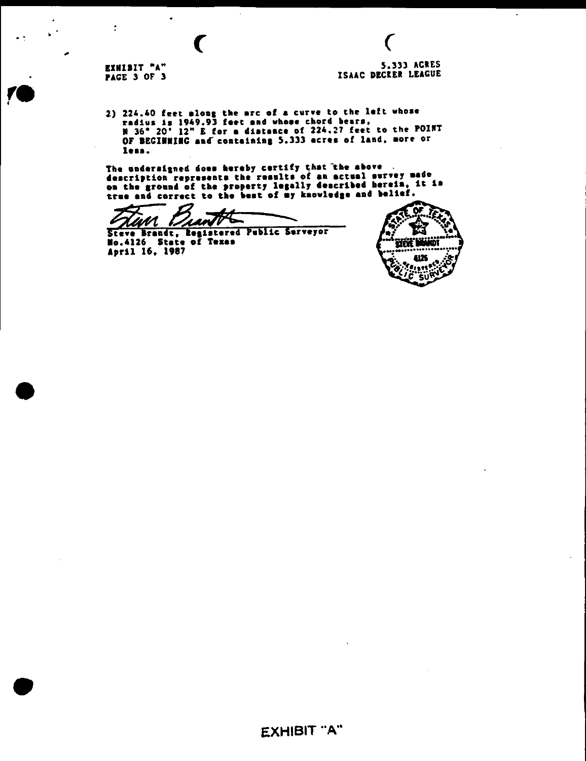EXHIBIT "A" **PAGE 3 OF 3** 

 $\ddot{\cdot}$ 

 $\ddot{\phantom{a}}$ 

 $\mathbf{v}^{(k)}$ 

 $\bullet$ 

 $\big($ 

5.333 ACRES ISAAC DECKER LEAGUE

 $\big($ 

 $\overline{\phantom{a}}$ 

2) 224.40 feet along the arc of a curve to the left whose<br>radius is 1949.93 feet and whose chord bears,<br>N 36° 20' 12" E for a distance of 224.27 feet to the POINT<br>OF BECINNING and containing 5.333 acres of land, more or less.

 $\sim$ 

The undersigned does hereby certify that the above<br>description represents the results of an actual survey made<br>on the ground of the property legally described herein, it is true and correct to the best of my knowledge and belief.

Quantit <u> Han</u>

Steve Brandt, Registered Public Surveyor No.4126 State of Texas April 16, 1987